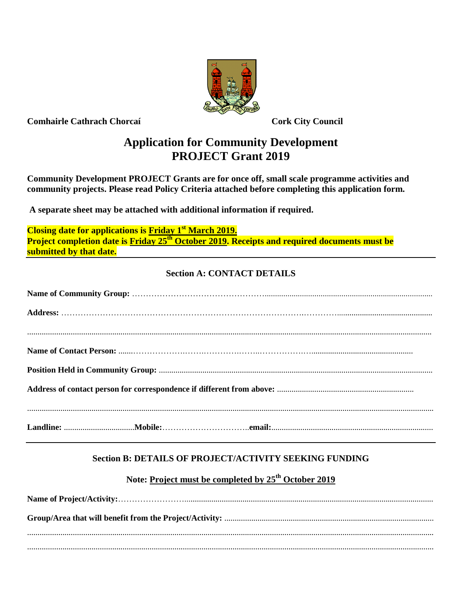

**Comhairle Cathrach Chorcaí Cork City Council**

# **Application for Community Development PROJECT Grant 2019**

**Community Development PROJECT Grants are for once off, small scale programme activities and community projects. Please read Policy Criteria attached before completing this application form.**

**A separate sheet may be attached with additional information if required.**

**Closing date for applications is Friday 1 st March 2019. Project completion date is Friday 25 th October 2019. Receipts and required documents must be submitted by that date.**

# **Section A: CONTACT DETAILS**

# **Section B: DETAILS OF PROJECT/ACTIVITY SEEKING FUNDING**

# **Note: Project must be completed by 25 th October 2019**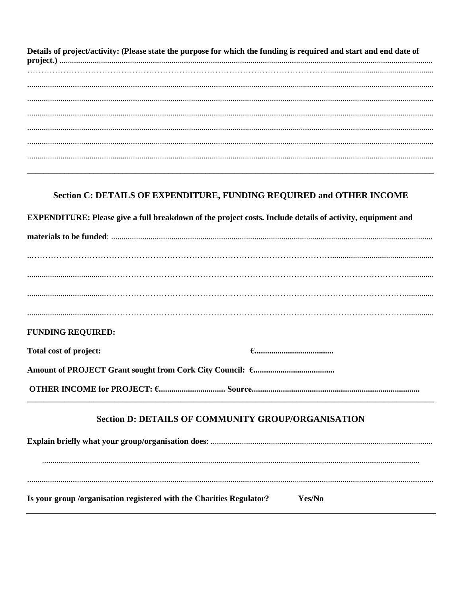Details of project/activity: (Please state the purpose for which the funding is required and start and end date of 

### Section C: DETAILS OF EXPENDITURE, FUNDING REQUIRED and OTHER INCOME

**EXPENDITURE:** Please give a full breakdown of the project costs. Include details of activity, equipment and

**FUNDING REQUIRED:** Total cost of project: 

### Section D: DETAILS OF COMMUNITY GROUP/ORGANISATION

Is your group /organisation registered with the Charities Regulator? Yes/No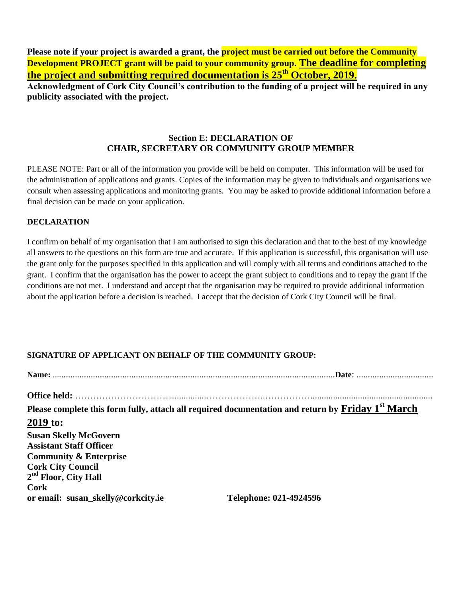**Please note if your project is awarded a grant, the project must be carried out before the Community Development PROJECT grant will be paid to your community group. The deadline for completing the project and submitting required documentation is 25 th October, 2019.**

**Acknowledgment of Cork City Council's contribution to the funding of a project will be required in any publicity associated with the project.**

#### **Section E: DECLARATION OF CHAIR, SECRETARY OR COMMUNITY GROUP MEMBER**

PLEASE NOTE: Part or all of the information you provide will be held on computer. This information will be used for the administration of applications and grants. Copies of the information may be given to individuals and organisations we consult when assessing applications and monitoring grants. You may be asked to provide additional information before a final decision can be made on your application.

#### **DECLARATION**

I confirm on behalf of my organisation that I am authorised to sign this declaration and that to the best of my knowledge all answers to the questions on this form are true and accurate. If this application is successful, this organisation will use the grant only for the purposes specified in this application and will comply with all terms and conditions attached to the grant. I confirm that the organisation has the power to accept the grant subject to conditions and to repay the grant if the conditions are not met. I understand and accept that the organisation may be required to provide additional information about the application before a decision is reached. I accept that the decision of Cork City Council will be final.

### **SIGNATURE OF APPLICANT ON BEHALF OF THE COMMUNITY GROUP:**

|                                    | Please complete this form fully, attach all required documentation and return by Friday 1 <sup>st</sup> March |  |  |
|------------------------------------|---------------------------------------------------------------------------------------------------------------|--|--|
| 2019 to:                           |                                                                                                               |  |  |
| <b>Susan Skelly McGovern</b>       |                                                                                                               |  |  |
| <b>Assistant Staff Officer</b>     |                                                                                                               |  |  |
| <b>Community &amp; Enterprise</b>  |                                                                                                               |  |  |
| <b>Cork City Council</b>           |                                                                                                               |  |  |
| 2 <sup>nd</sup> Floor, City Hall   |                                                                                                               |  |  |
| Cork                               |                                                                                                               |  |  |
| or email: susan_skelly@corkcity.ie | Telephone: 021-4924596                                                                                        |  |  |